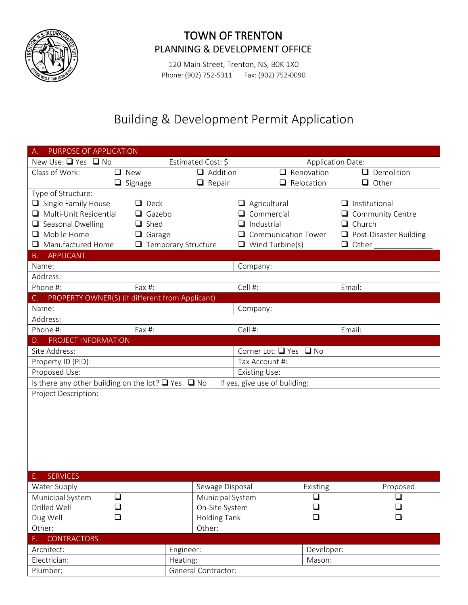

## TOWN OF TRENTON PLANNING & DEVELOPMENT OFFICE

120 Main Street, Trenton, NS, B0K 1X0 Phone: (902) 752-5311 Fax: (902) 752-0090

## Building & Development Permit Application

| PURPOSE OF APPLICATION                                                                        |                            |                            |                                  |  |
|-----------------------------------------------------------------------------------------------|----------------------------|----------------------------|----------------------------------|--|
| Estimated Cost: \$<br>New Use: $\Box$ Yes $\Box$ No                                           |                            | <b>Application Date:</b>   |                                  |  |
| Class of Work:<br>$\Box$ New                                                                  | $\Box$ Addition            | $\Box$ Renovation          | Demolition<br>$\Box$             |  |
| $\Box$ Signage                                                                                | $\Box$ Repair              | $\Box$ Relocation          | $\Box$ Other                     |  |
| Type of Structure:                                                                            |                            |                            |                                  |  |
| $\Box$ Single Family House<br>$\Box$ Deck                                                     |                            | $\Box$ Agricultural        | $\Box$ Institutional             |  |
| Multi-Unit Residential<br>$\Box$ Gazebo                                                       |                            | Commercial                 | Community Centre                 |  |
| $\Box$ Shed<br>$\Box$ Seasonal Dwelling                                                       |                            | Industrial                 | Church<br>ப                      |  |
| $\Box$ Mobile Home<br>$\Box$ Garage                                                           |                            | <b>Communication Tower</b> | Post-Disaster Building<br>$\Box$ |  |
| Manufactured Home                                                                             | $\Box$ Temporary Structure | $\Box$ Wind Turbine(s)     | $\Box$ Other                     |  |
| <b>APPLICANT</b><br><b>B.</b>                                                                 |                            |                            |                                  |  |
| Name:                                                                                         |                            | Company:                   |                                  |  |
| Address:                                                                                      |                            |                            |                                  |  |
| Phone #:<br>Fax $#$ :                                                                         |                            | Cell #:                    | Email:                           |  |
| PROPERTY OWNER(S) (if different from Applicant)<br>C.                                         |                            |                            |                                  |  |
| Name:                                                                                         |                            | Company:                   |                                  |  |
| Address:                                                                                      |                            |                            |                                  |  |
| Phone #:<br>Fax $#$ :                                                                         |                            | Cell #:                    | Email:                           |  |
| PROJECT INFORMATION<br>D. I                                                                   |                            |                            |                                  |  |
| Site Address:                                                                                 |                            | Corner Lot: □ Yes □ No     |                                  |  |
| Property ID (PID):                                                                            |                            | Tax Account #:             |                                  |  |
| Proposed Use:                                                                                 |                            | <b>Existing Use:</b>       |                                  |  |
| Is there any other building on the lot? $\Box$ Yes $\Box$ No<br>If yes, give use of building: |                            |                            |                                  |  |
| Project Description:                                                                          |                            |                            |                                  |  |
|                                                                                               |                            |                            |                                  |  |
|                                                                                               |                            |                            |                                  |  |
|                                                                                               |                            |                            |                                  |  |
|                                                                                               |                            |                            |                                  |  |
|                                                                                               |                            |                            |                                  |  |
|                                                                                               |                            |                            |                                  |  |
|                                                                                               |                            |                            |                                  |  |
| <b>SERVICES</b>                                                                               |                            |                            |                                  |  |
| Water Supply                                                                                  | Sewage Disposal            | Existing                   | Proposed                         |  |
| $\Box$<br>Municipal System                                                                    | Municipal System           | ❏                          | ⊔                                |  |
| Drilled Well<br>⊔                                                                             | On-Site System             | ⊔                          |                                  |  |
| ❏<br>Dug Well                                                                                 | <b>Holding Tank</b>        | ❏                          | $\Box$                           |  |
| Other:                                                                                        | Other:                     |                            |                                  |  |
| <b>CONTRACTORS</b><br>F.                                                                      |                            |                            |                                  |  |
| Architect:                                                                                    | Engineer:                  | Developer:                 |                                  |  |
| Electrician:                                                                                  | Heating:                   | Mason:                     |                                  |  |
| Plumber:                                                                                      | General Contractor:        |                            |                                  |  |